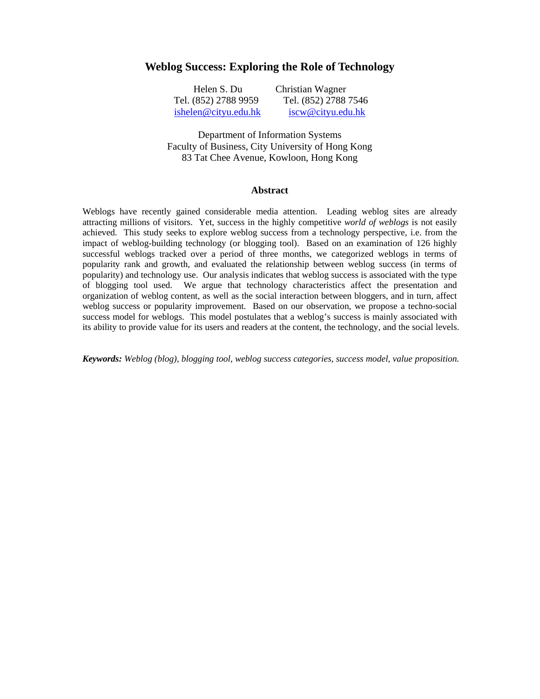# **Weblog Success: Exploring the Role of Technology**

Helen S. Du Christian Wagner ishelen@cityu.edu.hk iscw@cityu.edu.hk

Tel. (852) 2788 9959 Tel. (852) 2788 7546

Department of Information Systems Faculty of Business, City University of Hong Kong 83 Tat Chee Avenue, Kowloon, Hong Kong

# **Abstract**

Weblogs have recently gained considerable media attention. Leading weblog sites are already attracting millions of visitors. Yet, success in the highly competitive *world of weblogs* is not easily achieved. This study seeks to explore weblog success from a technology perspective, i.e. from the impact of weblog-building technology (or blogging tool). Based on an examination of 126 highly successful weblogs tracked over a period of three months, we categorized weblogs in terms of popularity rank and growth, and evaluated the relationship between weblog success (in terms of popularity) and technology use. Our analysis indicates that weblog success is associated with the type of blogging tool used. We argue that technology characteristics affect the presentation and organization of weblog content, as well as the social interaction between bloggers, and in turn, affect weblog success or popularity improvement. Based on our observation, we propose a techno-social success model for weblogs. This model postulates that a weblog's success is mainly associated with its ability to provide value for its users and readers at the content, the technology, and the social levels.

*Keywords: Weblog (blog), blogging tool, weblog success categories, success model, value proposition.*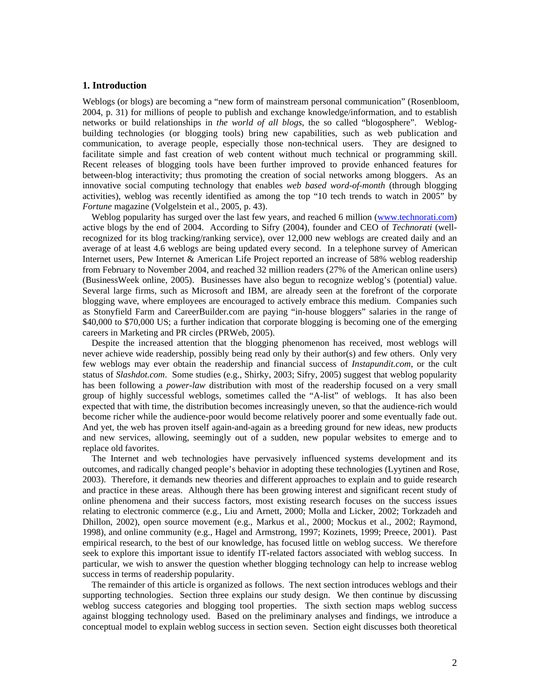## **1. Introduction**

Weblogs (or blogs) are becoming a "new form of mainstream personal communication" (Rosenbloom, 2004, p. 31) for millions of people to publish and exchange knowledge/information, and to establish networks or build relationships in *the world of all blogs*, the so called "blogosphere". Weblogbuilding technologies (or blogging tools) bring new capabilities, such as web publication and communication, to average people, especially those non-technical users. They are designed to facilitate simple and fast creation of web content without much technical or programming skill. Recent releases of blogging tools have been further improved to provide enhanced features for between-blog interactivity; thus promoting the creation of social networks among bloggers. As an innovative social computing technology that enables *web based word-of-month* (through blogging activities), weblog was recently identified as among the top "10 tech trends to watch in 2005" by *Fortune* magazine (Volgelstein et al., 2005, p. 43).

Weblog popularity has surged over the last few years, and reached 6 million (www.technorati.com) active blogs by the end of 2004. According to Sifry (2004), founder and CEO of *Technorati* (wellrecognized for its blog tracking/ranking service), over 12,000 new weblogs are created daily and an average of at least 4.6 weblogs are being updated every second. In a telephone survey of American Internet users, Pew Internet & American Life Project reported an increase of 58% weblog readership from February to November 2004, and reached 32 million readers (27% of the American online users) (BusinessWeek online, 2005). Businesses have also begun to recognize weblog's (potential) value. Several large firms, such as Microsoft and IBM, are already seen at the forefront of the corporate blogging wave, where employees are encouraged to actively embrace this medium. Companies such as Stonyfield Farm and CareerBuilder.com are paying "in-house bloggers" salaries in the range of \$40,000 to \$70,000 US; a further indication that corporate blogging is becoming one of the emerging careers in Marketing and PR circles (PRWeb, 2005).

Despite the increased attention that the blogging phenomenon has received, most weblogs will never achieve wide readership, possibly being read only by their author(s) and few others. Only very few weblogs may ever obtain the readership and financial success of *Instapundit.com*, or the cult status of *Slashdot.com*. Some studies (e.g., Shirky, 2003; Sifry, 2005) suggest that weblog popularity has been following a *power-law* distribution with most of the readership focused on a very small group of highly successful weblogs, sometimes called the "A-list" of weblogs. It has also been expected that with time, the distribution becomes increasingly uneven, so that the audience-rich would become richer while the audience-poor would become relatively poorer and some eventually fade out. And yet, the web has proven itself again-and-again as a breeding ground for new ideas, new products and new services, allowing, seemingly out of a sudden, new popular websites to emerge and to replace old favorites.

The Internet and web technologies have pervasively influenced systems development and its outcomes, and radically changed people's behavior in adopting these technologies (Lyytinen and Rose, 2003). Therefore, it demands new theories and different approaches to explain and to guide research and practice in these areas. Although there has been growing interest and significant recent study of online phenomena and their success factors, most existing research focuses on the success issues relating to electronic commerce (e.g., Liu and Arnett, 2000; Molla and Licker, 2002; Torkzadeh and Dhillon, 2002), open source movement (e.g., Markus et al., 2000; Mockus et al., 2002; Raymond, 1998), and online community (e.g., Hagel and Armstrong, 1997; Kozinets, 1999; Preece, 2001). Past empirical research, to the best of our knowledge, has focused little on weblog success. We therefore seek to explore this important issue to identify IT-related factors associated with weblog success. In particular, we wish to answer the question whether blogging technology can help to increase weblog success in terms of readership popularity.

The remainder of this article is organized as follows. The next section introduces weblogs and their supporting technologies. Section three explains our study design. We then continue by discussing weblog success categories and blogging tool properties. The sixth section maps weblog success against blogging technology used. Based on the preliminary analyses and findings, we introduce a conceptual model to explain weblog success in section seven. Section eight discusses both theoretical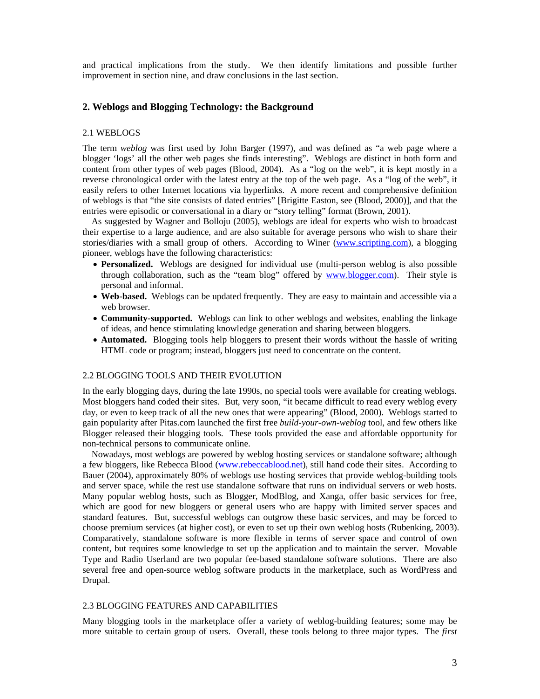and practical implications from the study. We then identify limitations and possible further improvement in section nine, and draw conclusions in the last section.

# **2. Weblogs and Blogging Technology: the Background**

#### 2.1 WEBLOGS

The term *weblog* was first used by John Barger (1997), and was defined as "a web page where a blogger 'logs' all the other web pages she finds interesting". Weblogs are distinct in both form and content from other types of web pages (Blood, 2004). As a "log on the web", it is kept mostly in a reverse chronological order with the latest entry at the top of the web page. As a "log of the web", it easily refers to other Internet locations via hyperlinks. A more recent and comprehensive definition of weblogs is that "the site consists of dated entries" [Brigitte Easton, see (Blood, 2000)], and that the entries were episodic or conversational in a diary or "story telling" format (Brown, 2001).

As suggested by Wagner and Bolloju (2005), weblogs are ideal for experts who wish to broadcast their expertise to a large audience, and are also suitable for average persons who wish to share their stories/diaries with a small group of others. According to Winer (www.scripting.com), a blogging pioneer, weblogs have the following characteristics:

- **Personalized.** Weblogs are designed for individual use (multi-person weblog is also possible through collaboration, such as the "team blog" offered by www.blogger.com). Their style is personal and informal.
- **Web-based.** Weblogs can be updated frequently. They are easy to maintain and accessible via a web browser.
- **Community-supported.** Weblogs can link to other weblogs and websites, enabling the linkage of ideas, and hence stimulating knowledge generation and sharing between bloggers.
- **Automated.** Blogging tools help bloggers to present their words without the hassle of writing HTML code or program; instead, bloggers just need to concentrate on the content.

#### 2.2 BLOGGING TOOLS AND THEIR EVOLUTION

In the early blogging days, during the late 1990s, no special tools were available for creating weblogs. Most bloggers hand coded their sites. But, very soon, "it became difficult to read every weblog every day, or even to keep track of all the new ones that were appearing" (Blood, 2000). Weblogs started to gain popularity after Pitas.com launched the first free *build-your-own-weblog* tool, and few others like Blogger released their blogging tools. These tools provided the ease and affordable opportunity for non-technical persons to communicate online.

Nowadays, most weblogs are powered by weblog hosting services or standalone software; although a few bloggers, like Rebecca Blood (www.rebeccablood.net), still hand code their sites. According to Bauer (2004), approximately 80% of weblogs use hosting services that provide weblog-building tools and server space, while the rest use standalone software that runs on individual servers or web hosts. Many popular weblog hosts, such as Blogger, ModBlog, and Xanga, offer basic services for free, which are good for new bloggers or general users who are happy with limited server spaces and standard features. But, successful weblogs can outgrow these basic services, and may be forced to choose premium services (at higher cost), or even to set up their own weblog hosts (Rubenking, 2003). Comparatively, standalone software is more flexible in terms of server space and control of own content, but requires some knowledge to set up the application and to maintain the server. Movable Type and Radio Userland are two popular fee-based standalone software solutions. There are also several free and open-source weblog software products in the marketplace, such as WordPress and Drupal.

## 2.3 BLOGGING FEATURES AND CAPABILITIES

Many blogging tools in the marketplace offer a variety of weblog-building features; some may be more suitable to certain group of users. Overall, these tools belong to three major types. The *first*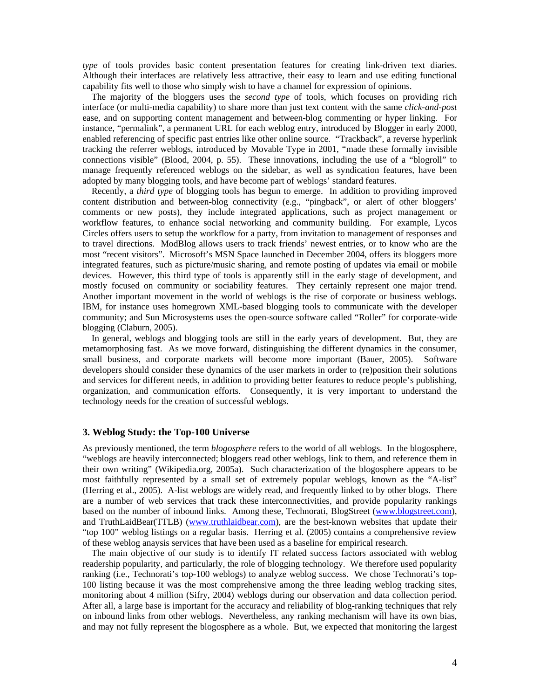*type* of tools provides basic content presentation features for creating link-driven text diaries. Although their interfaces are relatively less attractive, their easy to learn and use editing functional capability fits well to those who simply wish to have a channel for expression of opinions.

The majority of the bloggers uses the *second type* of tools, which focuses on providing rich interface (or multi-media capability) to share more than just text content with the same *click-and-post* ease, and on supporting content management and between-blog commenting or hyper linking. For instance, "permalink", a permanent URL for each weblog entry, introduced by Blogger in early 2000, enabled referencing of specific past entries like other online source. "Trackback", a reverse hyperlink tracking the referrer weblogs, introduced by Movable Type in 2001, "made these formally invisible connections visible" (Blood, 2004, p. 55). These innovations, including the use of a "blogroll" to manage frequently referenced weblogs on the sidebar, as well as syndication features, have been adopted by many blogging tools, and have become part of weblogs' standard features.

Recently, a *third type* of blogging tools has begun to emerge. In addition to providing improved content distribution and between-blog connectivity (e.g., "pingback", or alert of other bloggers' comments or new posts), they include integrated applications, such as project management or workflow features, to enhance social networking and community building. For example, Lycos Circles offers users to setup the workflow for a party, from invitation to management of responses and to travel directions. ModBlog allows users to track friends' newest entries, or to know who are the most "recent visitors". Microsoft's MSN Space launched in December 2004, offers its bloggers more integrated features, such as picture/music sharing, and remote posting of updates via email or mobile devices. However, this third type of tools is apparently still in the early stage of development, and mostly focused on community or sociability features. They certainly represent one major trend. Another important movement in the world of weblogs is the rise of corporate or business weblogs. IBM, for instance uses homegrown XML-based blogging tools to communicate with the developer community; and Sun Microsystems uses the open-source software called "Roller" for corporate-wide blogging (Claburn, 2005).

In general, weblogs and blogging tools are still in the early years of development. But, they are metamorphosing fast. As we move forward, distinguishing the different dynamics in the consumer, small business, and corporate markets will become more important (Bauer, 2005). Software developers should consider these dynamics of the user markets in order to (re)position their solutions and services for different needs, in addition to providing better features to reduce people's publishing, organization, and communication efforts. Consequently, it is very important to understand the technology needs for the creation of successful weblogs.

## **3. Weblog Study: the Top-100 Universe**

As previously mentioned, the term *blogosphere* refers to the world of all weblogs. In the blogosphere, "weblogs are heavily interconnected; bloggers read other weblogs, link to them, and reference them in their own writing" (Wikipedia.org, 2005a). Such characterization of the blogosphere appears to be most faithfully represented by a small set of extremely popular weblogs, known as the "A-list" (Herring et al., 2005). A-list weblogs are widely read, and frequently linked to by other blogs. There are a number of web services that track these interconnectivities, and provide popularity rankings based on the number of inbound links. Among these, Technorati, BlogStreet (www.blogstreet.com), and TruthLaidBear(TTLB) (www.truthlaidbear.com), are the best-known websites that update their "top 100" weblog listings on a regular basis. Herring et al. (2005) contains a comprehensive review of these weblog anaysis services that have been used as a baseline for empirical research.

The main objective of our study is to identify IT related success factors associated with weblog readership popularity, and particularly, the role of blogging technology. We therefore used popularity ranking (i.e., Technorati's top-100 weblogs) to analyze weblog success. We chose Technorati's top-100 listing because it was the most comprehensive among the three leading weblog tracking sites, monitoring about 4 million (Sifry, 2004) weblogs during our observation and data collection period. After all, a large base is important for the accuracy and reliability of blog-ranking techniques that rely on inbound links from other weblogs. Nevertheless, any ranking mechanism will have its own bias, and may not fully represent the blogosphere as a whole. But, we expected that monitoring the largest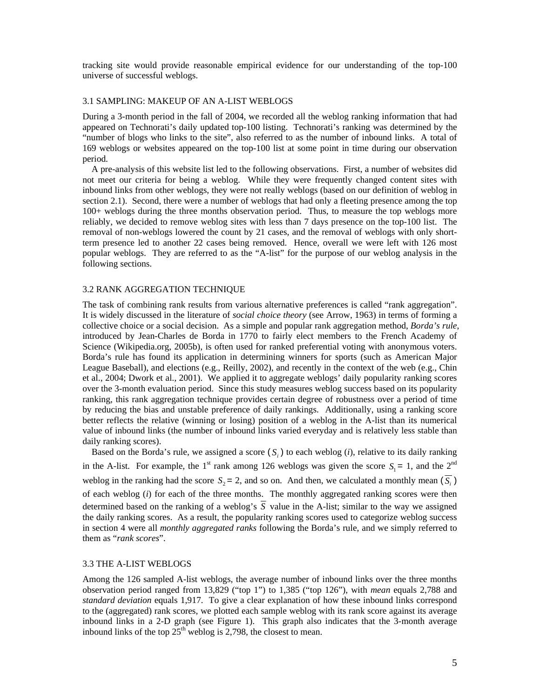tracking site would provide reasonable empirical evidence for our understanding of the top-100 universe of successful weblogs.

## 3.1 SAMPLING: MAKEUP OF AN A-LIST WEBLOGS

During a 3-month period in the fall of 2004, we recorded all the weblog ranking information that had appeared on Technorati's daily updated top-100 listing. Technorati's ranking was determined by the "number of blogs who links to the site", also referred to as the number of inbound links. A total of 169 weblogs or websites appeared on the top-100 list at some point in time during our observation period.

A pre-analysis of this website list led to the following observations. First, a number of websites did not meet our criteria for being a weblog. While they were frequently changed content sites with inbound links from other weblogs, they were not really weblogs (based on our definition of weblog in section 2.1). Second, there were a number of weblogs that had only a fleeting presence among the top 100+ weblogs during the three months observation period. Thus, to measure the top weblogs more reliably, we decided to remove weblog sites with less than 7 days presence on the top-100 list. The removal of non-weblogs lowered the count by 21 cases, and the removal of weblogs with only shortterm presence led to another 22 cases being removed. Hence, overall we were left with 126 most popular weblogs. They are referred to as the "A-list" for the purpose of our weblog analysis in the following sections.

## 3.2 RANK AGGREGATION TECHNIQUE

The task of combining rank results from various alternative preferences is called "rank aggregation". It is widely discussed in the literature of *social choice theory* (see Arrow, 1963) in terms of forming a collective choice or a social decision. As a simple and popular rank aggregation method, *Borda's rule*, introduced by Jean-Charles de Borda in 1770 to fairly elect members to the French Academy of Science (Wikipedia.org, 2005b), is often used for ranked preferential voting with anonymous voters. Borda's rule has found its application in determining winners for sports (such as American Major League Baseball), and elections (e.g., Reilly, 2002), and recently in the context of the web (e.g., Chin et al., 2004; Dwork et al., 2001). We applied it to aggregate weblogs' daily popularity ranking scores over the 3-month evaluation period. Since this study measures weblog success based on its popularity ranking, this rank aggregation technique provides certain degree of robustness over a period of time by reducing the bias and unstable preference of daily rankings. Additionally, using a ranking score better reflects the relative (winning or losing) position of a weblog in the A-list than its numerical value of inbound links (the number of inbound links varied everyday and is relatively less stable than daily ranking scores).

Based on the Borda's rule, we assigned a score  $(S_i)$  to each weblog  $(i)$ , relative to its daily ranking in the A-list. For example, the 1<sup>st</sup> rank among 126 weblogs was given the score  $S_1 = 1$ , and the 2<sup>nd</sup> weblog in the ranking had the score  $S_2 = 2$ , and so on. And then, we calculated a monthly mean  $(\overline{S_i})$ of each weblog (*i*) for each of the three months. The monthly aggregated ranking scores were then determined based on the ranking of a weblog's  $\overline{S}$  value in the A-list; similar to the way we assigned the daily ranking scores. As a result, the popularity ranking scores used to categorize weblog success in section 4 were all *monthly aggregated ranks* following the Borda's rule, and we simply referred to them as "*rank scores*".

### 3.3 THE A-LIST WEBLOGS

Among the 126 sampled A-list weblogs, the average number of inbound links over the three months observation period ranged from 13,829 ("top 1") to 1,385 ("top 126"), with *mean* equals 2,788 and *standard deviation* equals 1,917. To give a clear explanation of how these inbound links correspond to the (aggregated) rank scores, we plotted each sample weblog with its rank score against its average inbound links in a 2-D graph (see Figure 1). This graph also indicates that the 3-month average inbound links of the top  $25<sup>th</sup>$  weblog is 2,798, the closest to mean.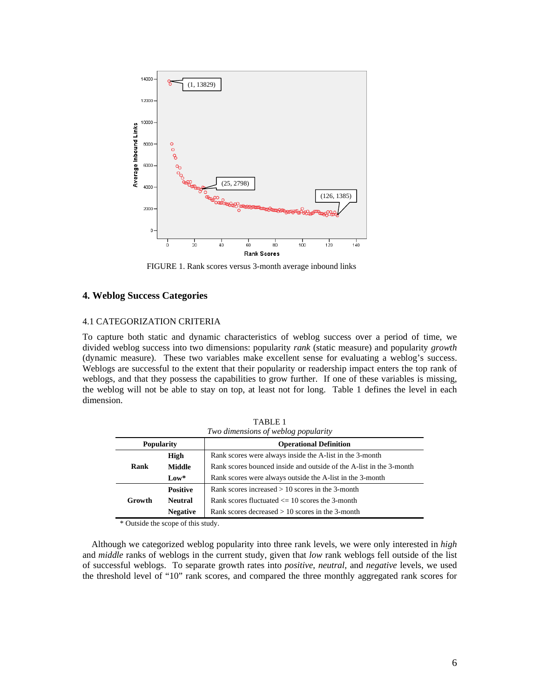

FIGURE 1. Rank scores versus 3-month average inbound links

# **4. Weblog Success Categories**

## 4.1 CATEGORIZATION CRITERIA

To capture both static and dynamic characteristics of weblog success over a period of time, we divided weblog success into two dimensions: popularity *rank* (static measure) and popularity *growth* (dynamic measure). These two variables make excellent sense for evaluating a weblog's success. Weblogs are successful to the extent that their popularity or readership impact enters the top rank of weblogs, and that they possess the capabilities to grow further. If one of these variables is missing, the weblog will not be able to stay on top, at least not for long. Table 1 defines the level in each dimension.

| <i>I wo</i> almensions of weblog popularity |                                                          |                                                                     |  |  |  |
|---------------------------------------------|----------------------------------------------------------|---------------------------------------------------------------------|--|--|--|
| <b>Popularity</b>                           |                                                          | <b>Operational Definition</b>                                       |  |  |  |
|                                             | Rank scores were always inside the A-list in the 3-month |                                                                     |  |  |  |
| Rank                                        | Middle                                                   | Rank scores bounced inside and outside of the A-list in the 3-month |  |  |  |
|                                             | $Low*$                                                   | Rank scores were always outside the A-list in the 3-month           |  |  |  |
| <b>Positive</b>                             |                                                          | Rank scores increased $> 10$ scores in the 3-month                  |  |  |  |
| Growth                                      | <b>Neutral</b>                                           | Rank scores fluctuated $\leq$ 10 scores the 3-month                 |  |  |  |
|                                             | <b>Negative</b>                                          | Rank scores decreased $> 10$ scores in the 3-month                  |  |  |  |

TABLE 1 *Two dimensions of weblog popularity*

\* Outside the scope of this study.

Although we categorized weblog popularity into three rank levels, we were only interested in *high* and *middle* ranks of weblogs in the current study, given that *low* rank weblogs fell outside of the list of successful weblogs. To separate growth rates into *positive*, *neutral*, and *negative* levels, we used the threshold level of "10" rank scores, and compared the three monthly aggregated rank scores for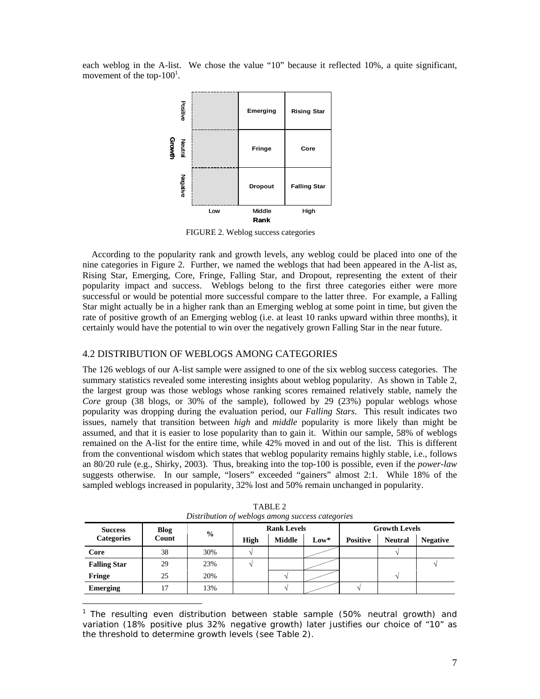each weblog in the A-list. We chose the value "10" because it reflected 10%, a quite significant, movement of the top- $100^1$ .



FIGURE 2. Weblog success categories

According to the popularity rank and growth levels, any weblog could be placed into one of the nine categories in Figure 2. Further, we named the weblogs that had been appeared in the A-list as, Rising Star, Emerging, Core, Fringe, Falling Star, and Dropout, representing the extent of their popularity impact and success. Weblogs belong to the first three categories either were more successful or would be potential more successful compare to the latter three. For example, a Falling Star might actually be in a higher rank than an Emerging weblog at some point in time, but given the rate of positive growth of an Emerging weblog (i.e. at least 10 ranks upward within three months), it certainly would have the potential to win over the negatively grown Falling Star in the near future.

## 4.2 DISTRIBUTION OF WEBLOGS AMONG CATEGORIES

1

The 126 weblogs of our A-list sample were assigned to one of the six weblog success categories. The summary statistics revealed some interesting insights about weblog popularity. As shown in Table 2, the largest group was those weblogs whose ranking scores remained relatively stable, namely the *Core* group (38 blogs, or 30% of the sample), followed by 29 (23%) popular weblogs whose popularity was dropping during the evaluation period, our *Falling Stars*. This result indicates two issues, namely that transition between *high* and *middle* popularity is more likely than might be assumed, and that it is easier to lose popularity than to gain it. Within our sample, 58% of weblogs remained on the A-list for the entire time, while 42% moved in and out of the list. This is different from the conventional wisdom which states that weblog popularity remains highly stable, i.e., follows an 80/20 rule (e.g., Shirky, 2003). Thus, breaking into the top-100 is possible, even if the *power-law* suggests otherwise. In our sample, "losers" exceeded "gainers" almost 2:1. While 18% of the sampled weblogs increased in popularity, 32% lost and 50% remain unchanged in popularity.

| <b>Success</b>      | <b>Blog</b><br>Count | $\frac{6}{6}$ | <b>Rank Levels</b> |        |                | <b>Growth Levels</b> |                |                 |
|---------------------|----------------------|---------------|--------------------|--------|----------------|----------------------|----------------|-----------------|
| <b>Categories</b>   |                      |               | High               | Middle | $_{\rm Low^*}$ | <b>Positive</b>      | <b>Neutral</b> | <b>Negative</b> |
| Core                | 38                   | 30%           |                    |        |                |                      |                |                 |
| <b>Falling Star</b> | 29                   | 23%           |                    |        |                |                      |                |                 |
| Fringe              | 25                   | 20%           |                    |        |                |                      |                |                 |
| Emerging            | 17                   | 13%           |                    |        |                |                      |                |                 |

TABLE 2 *Distribution of weblogs among success categories*

<sup>&</sup>lt;sup>1</sup> The resulting even distribution between stable sample (50% neutral growth) and variation (18% positive plus 32% negative growth) later justifies our choice of "10" as the threshold to determine growth levels (see Table 2).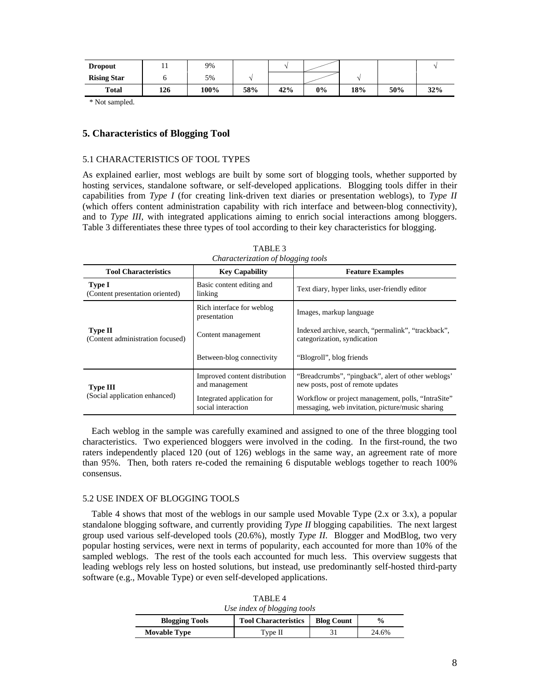| <b>Dropout</b>                                |     | 9%   |     |     |       |     |     |     |
|-----------------------------------------------|-----|------|-----|-----|-------|-----|-----|-----|
| <b>Rising Star</b>                            |     | 5%   |     |     |       |     |     |     |
| <b>Total</b>                                  | 126 | 100% | 58% | 42% | $0\%$ | 18% | 50% | 32% |
| the property of the control of the control of |     |      |     |     |       |     |     |     |

\* Not sampled.

# **5. Characteristics of Blogging Tool**

### 5.1 CHARACTERISTICS OF TOOL TYPES

As explained earlier, most weblogs are built by some sort of blogging tools, whether supported by hosting services, standalone software, or self-developed applications. Blogging tools differ in their capabilities from *Type I* (for creating link-driven text diaries or presentation weblogs), to *Type II* (which offers content administration capability with rich interface and between-blog connectivity), and to *Type III*, with integrated applications aiming to enrich social interactions among bloggers. Table 3 differentiates these three types of tool according to their key characteristics for blogging.

| Chan acter in antone of <i>olo</i> KNing tools   |                                                  |                                                                                                        |  |  |  |  |
|--------------------------------------------------|--------------------------------------------------|--------------------------------------------------------------------------------------------------------|--|--|--|--|
| <b>Tool Characteristics</b>                      | <b>Key Capability</b>                            | <b>Feature Examples</b>                                                                                |  |  |  |  |
| <b>Type I</b><br>(Content presentation oriented) | Basic content editing and<br>linking             | Text diary, hyper links, user-friendly editor                                                          |  |  |  |  |
|                                                  | Rich interface for weblog<br>presentation        | Images, markup language                                                                                |  |  |  |  |
| Type II<br>(Content administration focused)      | Content management                               | Indexed archive, search, "permalink", "trackback",<br>categorization, syndication                      |  |  |  |  |
|                                                  | Between-blog connectivity                        | "Blogroll", blog friends                                                                               |  |  |  |  |
| <b>Type III</b>                                  | Improved content distribution<br>and management  | "Breadcrumbs", "pingback", alert of other weblogs'<br>new posts, post of remote updates                |  |  |  |  |
| (Social application enhanced)                    | Integrated application for<br>social interaction | Workflow or project management, polls, "IntraSite"<br>messaging, web invitation, picture/music sharing |  |  |  |  |

TABLE 3 *Characterization of blogging tools*

Each weblog in the sample was carefully examined and assigned to one of the three blogging tool characteristics. Two experienced bloggers were involved in the coding. In the first-round, the two raters independently placed 120 (out of 126) weblogs in the same way, an agreement rate of more than 95%. Then, both raters re-coded the remaining 6 disputable weblogs together to reach 100% consensus.

#### 5.2 USE INDEX OF BLOGGING TOOLS

Table 4 shows that most of the weblogs in our sample used Movable Type (2.x or 3.x), a popular standalone blogging software, and currently providing *Type II* blogging capabilities. The next largest group used various self-developed tools (20.6%), mostly *Type II*. Blogger and ModBlog, two very popular hosting services, were next in terms of popularity, each accounted for more than 10% of the sampled weblogs. The rest of the tools each accounted for much less. This overview suggests that leading weblogs rely less on hosted solutions, but instead, use predominantly self-hosted third-party software (e.g., Movable Type) or even self-developed applications.

| Use index of blogging tools |                             |                   |               |  |  |  |
|-----------------------------|-----------------------------|-------------------|---------------|--|--|--|
| <b>Blogging Tools</b>       | <b>Tool Characteristics</b> | <b>Blog Count</b> | $\frac{6}{9}$ |  |  |  |
| <b>Movable Type</b>         | Type II                     |                   | 24.6%         |  |  |  |

| TABLE <sub>4</sub> |  |  |                            |  |  |  |
|--------------------|--|--|----------------------------|--|--|--|
|                    |  |  | Use index of blogging too. |  |  |  |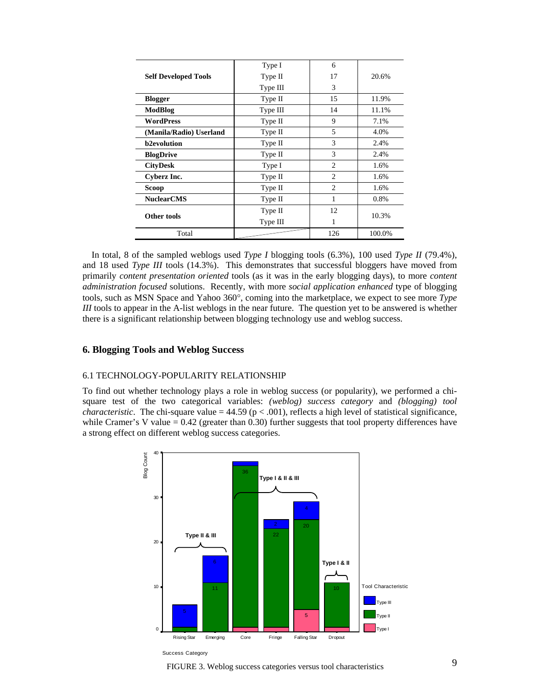|                             | Type I   | 6              |        |
|-----------------------------|----------|----------------|--------|
| <b>Self Developed Tools</b> | Type II  | 17             | 20.6%  |
|                             | Type III | 3              |        |
| <b>Blogger</b>              | Type II  | 15             | 11.9%  |
| ModBlog                     | Type III | 14             | 11.1%  |
| <b>WordPress</b>            | Type II  | 9              | 7.1%   |
| (Manila/Radio) Userland     | Type II  | 5              | 4.0%   |
| <b>b2evolution</b>          | Type II  | 3              | 2.4%   |
| <b>BlogDrive</b>            | Type II  | 3              | 2.4%   |
| <b>CityDesk</b>             | Type I   | $\overline{c}$ | 1.6%   |
| Cyberz Inc.                 | Type II  | $\overline{c}$ | 1.6%   |
| Scoop                       | Type II  | $\overline{c}$ | 1.6%   |
| <b>NuclearCMS</b>           | Type II  | 1              | 0.8%   |
| Other tools                 | Type II  | 12             | 10.3%  |
|                             | Type III | 1              |        |
| Total                       |          | 126            | 100.0% |

In total, 8 of the sampled weblogs used *Type I* blogging tools (6.3%), 100 used *Type II* (79.4%), and 18 used *Type III* tools (14.3%). This demonstrates that successful bloggers have moved from primarily *content presentation oriented* tools (as it was in the early blogging days), to more *content administration focused* solutions. Recently, with more *social application enhanced* type of blogging tools, such as MSN Space and Yahoo 360°, coming into the marketplace, we expect to see more *Type III* tools to appear in the A-list weblogs in the near future. The question yet to be answered is whether there is a significant relationship between blogging technology use and weblog success.

# **6. Blogging Tools and Weblog Success**

## 6.1 TECHNOLOGY-POPULARITY RELATIONSHIP

To find out whether technology plays a role in weblog success (or popularity), we performed a chisquare test of the two categorical variables: *(weblog) success category* and *(blogging) tool characteristic*. The chi-square value =  $44.59$  ( $p < .001$ ), reflects a high level of statistical significance, while Cramer's V value  $= 0.42$  (greater than 0.30) further suggests that tool property differences have a strong effect on different weblog success categories.



Success Category

FIGURE 3. Weblog success categories versus tool characteristics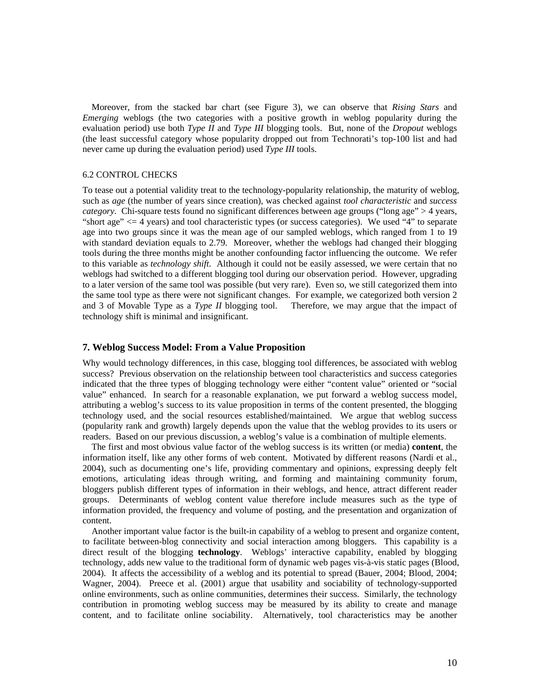Moreover, from the stacked bar chart (see Figure 3), we can observe that *Rising Stars* and *Emerging* weblogs (the two categories with a positive growth in weblog popularity during the evaluation period) use both *Type II* and *Type III* blogging tools. But, none of the *Dropout* weblogs (the least successful category whose popularity dropped out from Technorati's top-100 list and had never came up during the evaluation period) used *Type III* tools.

#### 6.2 CONTROL CHECKS

To tease out a potential validity treat to the technology-popularity relationship, the maturity of weblog, such as *age* (the number of years since creation), was checked against *tool characteristic* and *success category*. Chi-square tests found no significant differences between age groups ("long age" > 4 years, "short age" <= 4 years) and tool characteristic types (or success categories). We used "4" to separate age into two groups since it was the mean age of our sampled weblogs, which ranged from 1 to 19 with standard deviation equals to 2.79. Moreover, whether the weblogs had changed their blogging tools during the three months might be another confounding factor influencing the outcome. We refer to this variable as *technology shift*. Although it could not be easily assessed, we were certain that no weblogs had switched to a different blogging tool during our observation period. However, upgrading to a later version of the same tool was possible (but very rare). Even so, we still categorized them into the same tool type as there were not significant changes. For example, we categorized both version 2 and 3 of Movable Type as a *Type II* blogging tool. Therefore, we may argue that the impact of technology shift is minimal and insignificant.

### **7. Weblog Success Model: From a Value Proposition**

Why would technology differences, in this case, blogging tool differences, be associated with weblog success? Previous observation on the relationship between tool characteristics and success categories indicated that the three types of blogging technology were either "content value" oriented or "social value" enhanced. In search for a reasonable explanation, we put forward a weblog success model, attributing a weblog's success to its value proposition in terms of the content presented, the blogging technology used, and the social resources established/maintained. We argue that weblog success (popularity rank and growth) largely depends upon the value that the weblog provides to its users or readers. Based on our previous discussion, a weblog's value is a combination of multiple elements.

The first and most obvious value factor of the weblog success is its written (or media) **content**, the information itself, like any other forms of web content. Motivated by different reasons (Nardi et al., 2004), such as documenting one's life, providing commentary and opinions, expressing deeply felt emotions, articulating ideas through writing, and forming and maintaining community forum, bloggers publish different types of information in their weblogs, and hence, attract different reader groups. Determinants of weblog content value therefore include measures such as the type of information provided, the frequency and volume of posting, and the presentation and organization of content.

Another important value factor is the built-in capability of a weblog to present and organize content, to facilitate between-blog connectivity and social interaction among bloggers. This capability is a direct result of the blogging **technology**. Weblogs' interactive capability, enabled by blogging technology, adds new value to the traditional form of dynamic web pages vis-à-vis static pages (Blood, 2004). It affects the accessibility of a weblog and its potential to spread (Bauer, 2004; Blood, 2004; Wagner, 2004). Preece et al. (2001) argue that usability and sociability of technology-supported online environments, such as online communities, determines their success. Similarly, the technology contribution in promoting weblog success may be measured by its ability to create and manage content, and to facilitate online sociability. Alternatively, tool characteristics may be another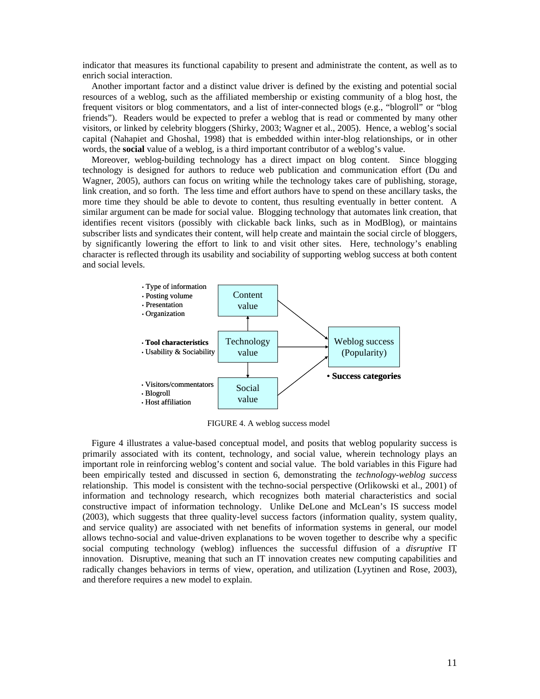indicator that measures its functional capability to present and administrate the content, as well as to enrich social interaction.

Another important factor and a distinct value driver is defined by the existing and potential social resources of a weblog, such as the affiliated membership or existing community of a blog host, the frequent visitors or blog commentators, and a list of inter-connected blogs (e.g., "blogroll" or "blog friends"). Readers would be expected to prefer a weblog that is read or commented by many other visitors, or linked by celebrity bloggers (Shirky, 2003; Wagner et al., 2005). Hence, a weblog's social capital (Nahapiet and Ghoshal, 1998) that is embedded within inter-blog relationships, or in other words, the **social** value of a weblog, is a third important contributor of a weblog's value.

Moreover, weblog-building technology has a direct impact on blog content. Since blogging technology is designed for authors to reduce web publication and communication effort (Du and Wagner, 2005), authors can focus on writing while the technology takes care of publishing, storage, link creation, and so forth. The less time and effort authors have to spend on these ancillary tasks, the more time they should be able to devote to content, thus resulting eventually in better content. A similar argument can be made for social value. Blogging technology that automates link creation, that identifies recent visitors (possibly with clickable back links, such as in ModBlog), or maintains subscriber lists and syndicates their content, will help create and maintain the social circle of bloggers, by significantly lowering the effort to link to and visit other sites. Here, technology's enabling character is reflected through its usability and sociability of supporting weblog success at both content and social levels.



FIGURE 4. A weblog success model

Figure 4 illustrates a value-based conceptual model, and posits that weblog popularity success is primarily associated with its content, technology, and social value, wherein technology plays an important role in reinforcing weblog's content and social value. The bold variables in this Figure had been empirically tested and discussed in section 6, demonstrating the *technology-weblog success* relationship. This model is consistent with the techno-social perspective (Orlikowski et al., 2001) of information and technology research, which recognizes both material characteristics and social constructive impact of information technology. Unlike DeLone and McLean's IS success model (2003), which suggests that three quality-level success factors (information quality, system quality, and service quality) are associated with net benefits of information systems in general, our model allows techno-social and value-driven explanations to be woven together to describe why a specific social computing technology (weblog) influences the successful diffusion of a *disruptive* IT innovation. Disruptive, meaning that such an IT innovation creates new computing capabilities and radically changes behaviors in terms of view, operation, and utilization (Lyytinen and Rose, 2003), and therefore requires a new model to explain.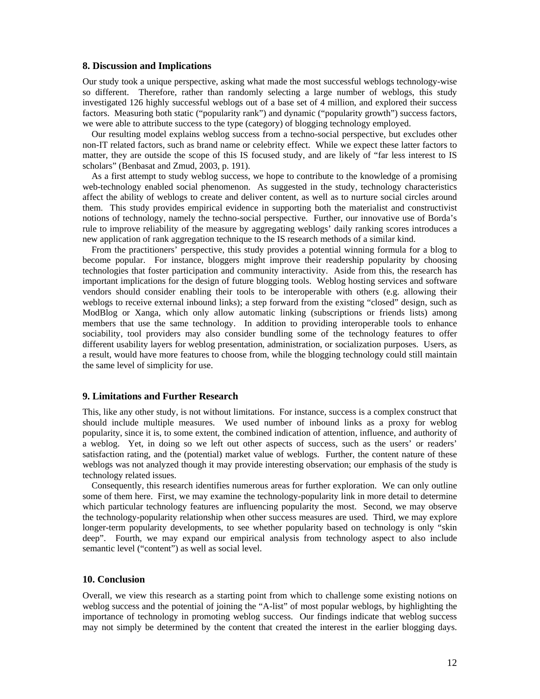## **8. Discussion and Implications**

Our study took a unique perspective, asking what made the most successful weblogs technology-wise so different. Therefore, rather than randomly selecting a large number of weblogs, this study investigated 126 highly successful weblogs out of a base set of 4 million, and explored their success factors. Measuring both static ("popularity rank") and dynamic ("popularity growth") success factors, we were able to attribute success to the type (category) of blogging technology employed.

Our resulting model explains weblog success from a techno-social perspective, but excludes other non-IT related factors, such as brand name or celebrity effect. While we expect these latter factors to matter, they are outside the scope of this IS focused study, and are likely of "far less interest to IS scholars" (Benbasat and Zmud, 2003, p. 191).

As a first attempt to study weblog success, we hope to contribute to the knowledge of a promising web-technology enabled social phenomenon. As suggested in the study, technology characteristics affect the ability of weblogs to create and deliver content, as well as to nurture social circles around them. This study provides empirical evidence in supporting both the materialist and constructivist notions of technology, namely the techno-social perspective. Further, our innovative use of Borda's rule to improve reliability of the measure by aggregating weblogs' daily ranking scores introduces a new application of rank aggregation technique to the IS research methods of a similar kind.

From the practitioners' perspective, this study provides a potential winning formula for a blog to become popular. For instance, bloggers might improve their readership popularity by choosing technologies that foster participation and community interactivity. Aside from this, the research has important implications for the design of future blogging tools. Weblog hosting services and software vendors should consider enabling their tools to be interoperable with others (e.g. allowing their weblogs to receive external inbound links); a step forward from the existing "closed" design, such as ModBlog or Xanga, which only allow automatic linking (subscriptions or friends lists) among members that use the same technology. In addition to providing interoperable tools to enhance sociability, tool providers may also consider bundling some of the technology features to offer different usability layers for weblog presentation, administration, or socialization purposes. Users, as a result, would have more features to choose from, while the blogging technology could still maintain the same level of simplicity for use.

## **9. Limitations and Further Research**

This, like any other study, is not without limitations. For instance, success is a complex construct that should include multiple measures. We used number of inbound links as a proxy for weblog popularity, since it is, to some extent, the combined indication of attention, influence, and authority of a weblog. Yet, in doing so we left out other aspects of success, such as the users' or readers' satisfaction rating, and the (potential) market value of weblogs. Further, the content nature of these weblogs was not analyzed though it may provide interesting observation; our emphasis of the study is technology related issues.

Consequently, this research identifies numerous areas for further exploration. We can only outline some of them here. First, we may examine the technology-popularity link in more detail to determine which particular technology features are influencing popularity the most. Second, we may observe the technology-popularity relationship when other success measures are used. Third, we may explore longer-term popularity developments, to see whether popularity based on technology is only "skin deep". Fourth, we may expand our empirical analysis from technology aspect to also include semantic level ("content") as well as social level.

### **10. Conclusion**

Overall, we view this research as a starting point from which to challenge some existing notions on weblog success and the potential of joining the "A-list" of most popular weblogs, by highlighting the importance of technology in promoting weblog success. Our findings indicate that weblog success may not simply be determined by the content that created the interest in the earlier blogging days.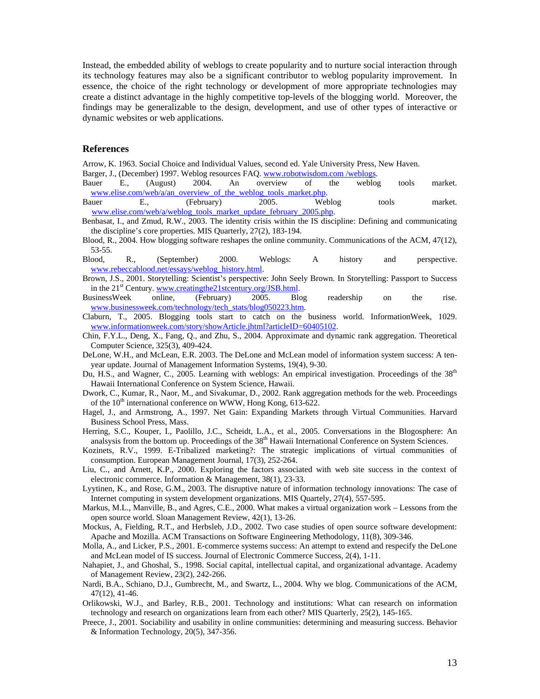Instead, the embedded ability of weblogs to create popularity and to nurture social interaction through its technology features may also be a significant contributor to weblog popularity improvement. In essence, the choice of the right technology or development of more appropriate technologies may create a distinct advantage in the highly competitive top-levels of the blogging world. Moreover, the findings may be generalizable to the design, development, and use of other types of interactive or dynamic websites or web applications.

#### **References**

Arrow, K. 1963. Social Choice and Individual Values, second ed. Yale University Press, New Haven. Barger, J., (December) 1997. Weblog resources FAQ. www.robotwisdom.com/weblogs.

Bauer E., (August) 2004. An overview of the weblog tools market. www.elise.com/web/a/an\_overview\_of\_the\_weblog\_tools\_market.php.

Bauer E., (February) 2005. Weblog tools market. www.elise.com/web/a/weblog\_tools\_market\_update\_february\_2005.php.

- Benbasat, I., and Zmud, R.W., 2003. The identity crisis within the IS discipline: Defining and communicating the discipline's core properties. MIS Quarterly, 27(2), 183-194.
- Blood, R., 2004. How blogging software reshapes the online community. Communications of the ACM, 47(12), 53-55.
- Blood, R., (September) 2000. Weblogs: A history and perspective. www.rebeccablood.net/essays/weblog\_history.html.
- Brown, J.S., 2001. Storytelling: Scientist's perspective: John Seely Brown. In Storytelling: Passport to Success in the 21<sup>st</sup> Century. www.creatingthe21stcentury.org/JSB.html.
- BusinessWeek online, (February) 2005. Blog readership on the rise. www.businessweek.com/technology/tech\_stats/blog050223.htm.
- Claburn, T., 2005. Blogging tools start to catch on the business world. InformationWeek, 1029. www.informationweek.com/story/showArticle.jhtml?articleID=60405102.
- Chin, F.Y.L., Deng, X., Fang, Q., and Zhu, S., 2004. Approximate and dynamic rank aggregation. Theoretical Computer Science, 325(3), 409-424.
- DeLone, W.H., and McLean, E.R. 2003. The DeLone and McLean model of information system success: A tenyear update. Journal of Management Information Systems, 19(4), 9-30.
- Du, H.S., and Wagner, C., 2005. Learning with weblogs: An empirical investigation. Proceedings of the  $38<sup>th</sup>$ Hawaii International Conference on System Science, Hawaii.
- Dwork, C., Kumar, R., Naor, M., and Sivakumar, D., 2002. Rank aggregation methods for the web. Proceedings of the 10<sup>th</sup> international conference on WWW, Hong Kong, 613-622.
- Hagel, J., and Armstrong, A., 1997. Net Gain: Expanding Markets through Virtual Communities. Harvard Business School Press, Mass.
- Herring, S.C., Kouper, I., Paolillo, J.C., Scheidt, L.A., et al., 2005. Conversations in the Blogosphere: An analsysis from the bottom up. Proceedings of the  $38<sup>th</sup>$  Hawaii International Conference on System Sciences.
- Kozinets, R.V., 1999. E-Tribalized marketing?: The strategic implications of virtual communities of consumption. European Management Journal, 17(3), 252-264.
- Liu, C., and Arnett, K.P., 2000. Exploring the factors associated with web site success in the context of electronic commerce. Information & Management, 38(1), 23-33.
- Lyytinen, K., and Rose, G.M., 2003. The disruptive nature of information technology innovations: The case of Internet computing in system development organizations. MIS Quartely, 27(4), 557-595.
- Markus, M.L., Manville, B., and Agres, C.E., 2000. What makes a virtual organization work Lessons from the open source world. Sloan Management Review, 42(1), 13-26.
- Mockus, A, Fielding, R.T., and Herbsleb, J.D., 2002. Two case studies of open source software development: Apache and Mozilla. ACM Transactions on Software Engineering Methodology, 11(8), 309-346.
- Molla, A., and Licker, P.S., 2001. E-commerce systems success: An attempt to extend and respecify the DeLone and McLean model of IS success. Journal of Electronic Commerce Success, 2(4), 1-11.
- Nahapiet, J., and Ghoshal, S., 1998. Social capital, intellectual capital, and organizational advantage. Academy of Management Review, 23(2), 242-266.
- Nardi, B.A., Schiano, D.J., Gumbrecht, M., and Swartz, L., 2004. Why we blog. Communications of the ACM, 47(12), 41-46.
- Orlikowski, W.J., and Barley, R.B., 2001. Technology and institutions: What can research on information technology and research on organizations learn from each other? MIS Quarterly, 25(2), 145-165.
- Preece, J., 2001. Sociability and usability in online communities: determining and measuring success. Behavior & Information Technology, 20(5), 347-356.